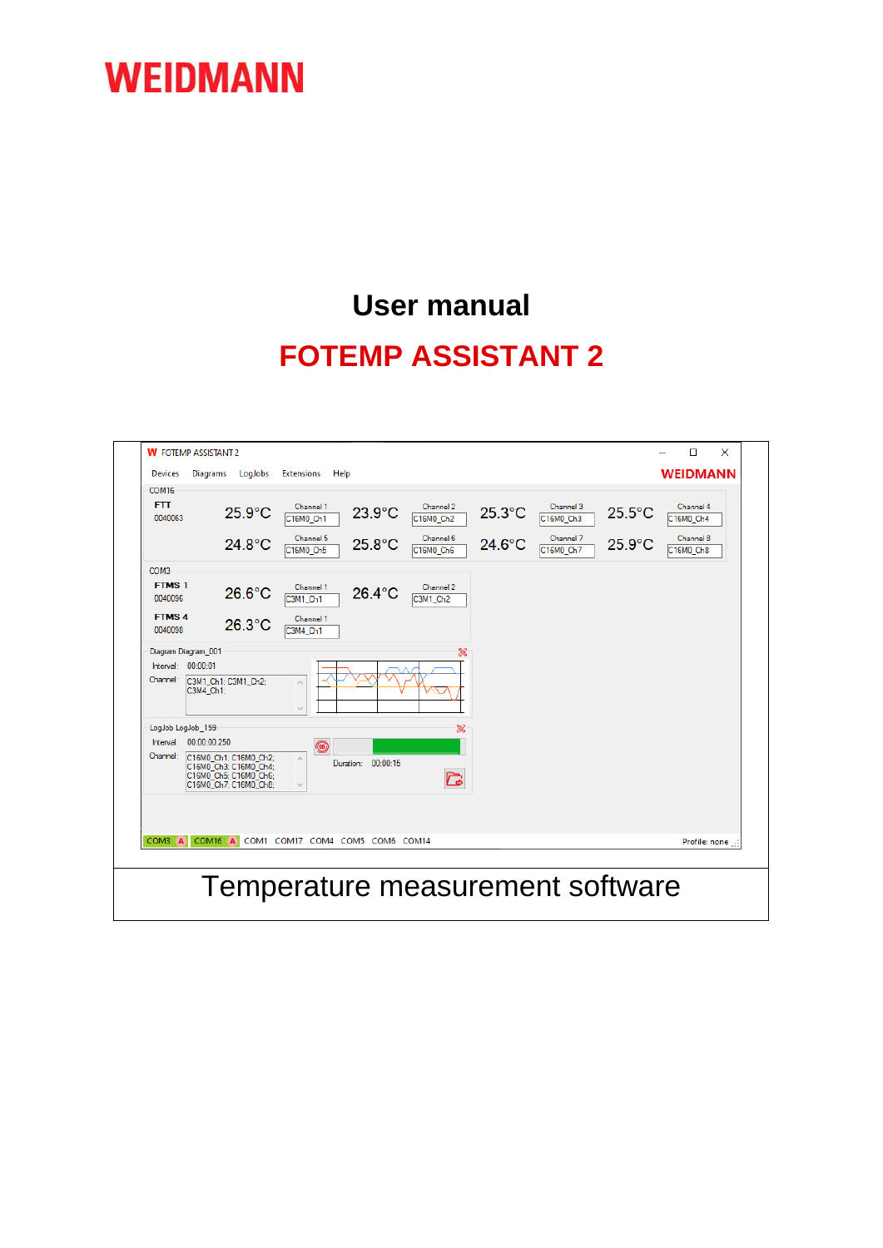### **User manual FOTEMP ASSISTANT 2**

| $\Box$<br><b>W</b> FOTEMP ASSISTANT 2<br>$\times$                                                                                                                                                                                                                                                                                                                                                                                 |  |  |  |  |  |
|-----------------------------------------------------------------------------------------------------------------------------------------------------------------------------------------------------------------------------------------------------------------------------------------------------------------------------------------------------------------------------------------------------------------------------------|--|--|--|--|--|
| <b>WEIDMANN</b><br>LogJobs<br>Diagrams<br><b>Extensions</b><br>Help<br><b>Devices</b>                                                                                                                                                                                                                                                                                                                                             |  |  |  |  |  |
| COM <sub>16</sub><br><b>FTT</b><br>Channel 1<br>Channel 2<br>Channel 3<br>Channel 4<br>$25.3$ °C<br>$25.5^{\circ}$ C<br>$25.9^{\circ}$ C<br>$23.9^{\circ}$ C<br>0040063<br>C16M0 Ch2<br>C <sub>16MO</sub> Ch <sub>1</sub><br>C16M0 Ch3<br>C16M0 Ch4<br>Channel 8<br>Channel 5<br>Channel 6<br>Channel 7<br>$25.9^{\circ}$ C<br>24.8°C<br>$25.8^{\circ}$ C<br>$24.6^{\circ}$ C<br>C16M0 Ch5<br>C16M0 Ch6<br>C16M0 Ch7<br>C16M0 Ch8 |  |  |  |  |  |
| COM3<br><b>FTMS1</b><br>Channel 1<br>Channel 2<br>$26.6^{\circ}$ C<br>26.4°C<br>0040096<br>C3M1 Ch1<br>C3M1 Ch2<br><b>FTMS4</b><br>Channel 1<br>$26.3$ °C<br>0040098<br>C3M4 Ch1                                                                                                                                                                                                                                                  |  |  |  |  |  |
| Diagram Diagram_001<br>$\infty$<br>Interval: $00:00:01$<br>Channel:<br>C3M1_Ch1; C3M1_Ch2;<br>$\hat{\rho}_\mathrm{S}$<br>C3M4 Ch1:<br>$\mathcal{Q}$<br>LogJob LogJob 159<br>$\infty$                                                                                                                                                                                                                                              |  |  |  |  |  |
| Interval: 00:00:00.250<br>$\textcircled{\scriptsize{1}}$<br>Channel:<br>C16M0 Ch1; C16M0 Ch2;<br>$\rho_{\rm N}$<br>Duration: 00:00:15<br>C16M0_Ch3; C16M0_Ch4;<br>C<br>C16M0_Ch5; C16M0_Ch6;<br>C16M0 Ch7: C16M0 Ch8:<br>$\lambda_{\rm p}$                                                                                                                                                                                        |  |  |  |  |  |
| COM3 A<br>COM16 A<br>COM1 COM17 COM4 COM5 COM6 COM14<br>Profile: none                                                                                                                                                                                                                                                                                                                                                             |  |  |  |  |  |
| Temperature measurement software                                                                                                                                                                                                                                                                                                                                                                                                  |  |  |  |  |  |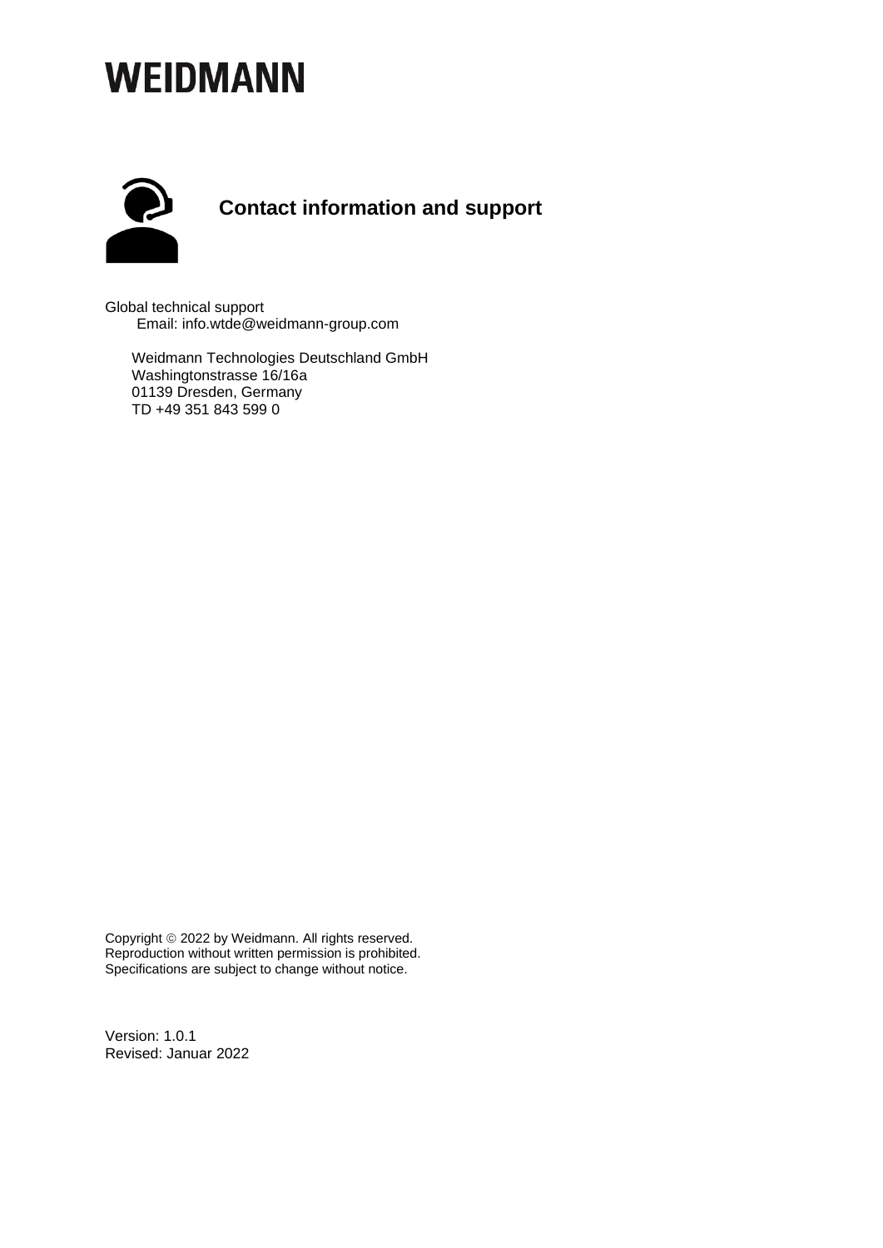

Global technical support Email: info.wtde@weidmann-group.com

Weidmann Technologies Deutschland GmbH Washingtonstrasse 16/16a 01139 Dresden, Germany TD +49 351 843 599 0

Copyright © 2022 by Weidmann. All rights reserved. Reproduction without written permission is prohibited. Specifications are subject to change without notice.

Version: 1.0.1 Revised: Januar 2022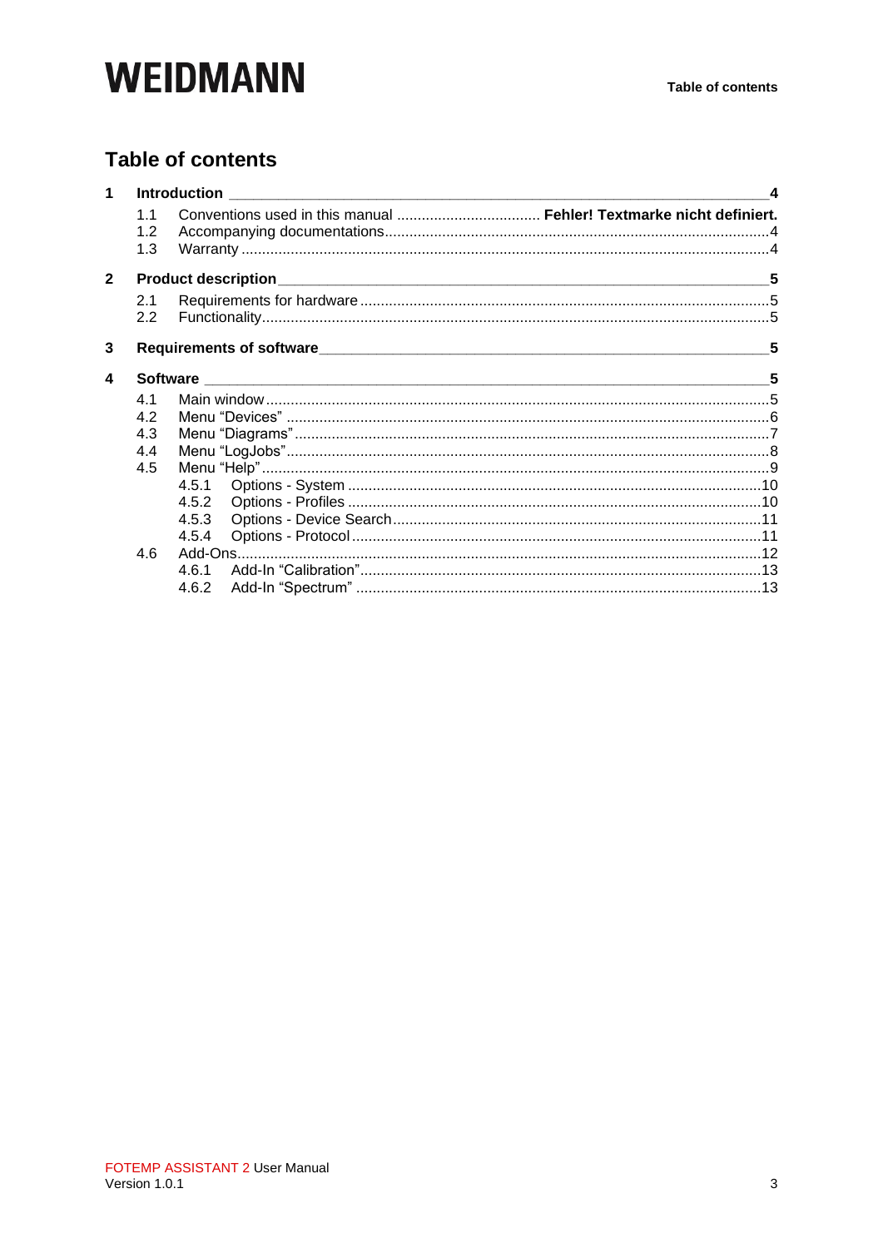### **Table of contents**

| $\mathbf{1}$   |                   | $\boldsymbol{A}$                                                                |   |  |
|----------------|-------------------|---------------------------------------------------------------------------------|---|--|
|                | 1.1<br>1.2<br>1.3 |                                                                                 |   |  |
| $\overline{2}$ |                   |                                                                                 | 5 |  |
|                | 2.1               |                                                                                 |   |  |
|                | 2.2               |                                                                                 |   |  |
| 3              |                   | Requirements of software <b>contained a container and a contact of software</b> | 5 |  |
| 4              |                   |                                                                                 |   |  |
|                | 4.1               |                                                                                 |   |  |
|                | 4.2               |                                                                                 |   |  |
|                | 4.3               |                                                                                 |   |  |
|                | 4.4               |                                                                                 |   |  |
|                | 4.5               |                                                                                 |   |  |
|                |                   | 4.5.1                                                                           |   |  |
|                |                   | 4.5.2                                                                           |   |  |
|                |                   | 4.5.3                                                                           |   |  |
|                |                   | 4.5.4                                                                           |   |  |
|                | 4.6               |                                                                                 |   |  |
|                |                   | 4.6.1                                                                           |   |  |
|                |                   | 4.6.2                                                                           |   |  |
|                |                   |                                                                                 |   |  |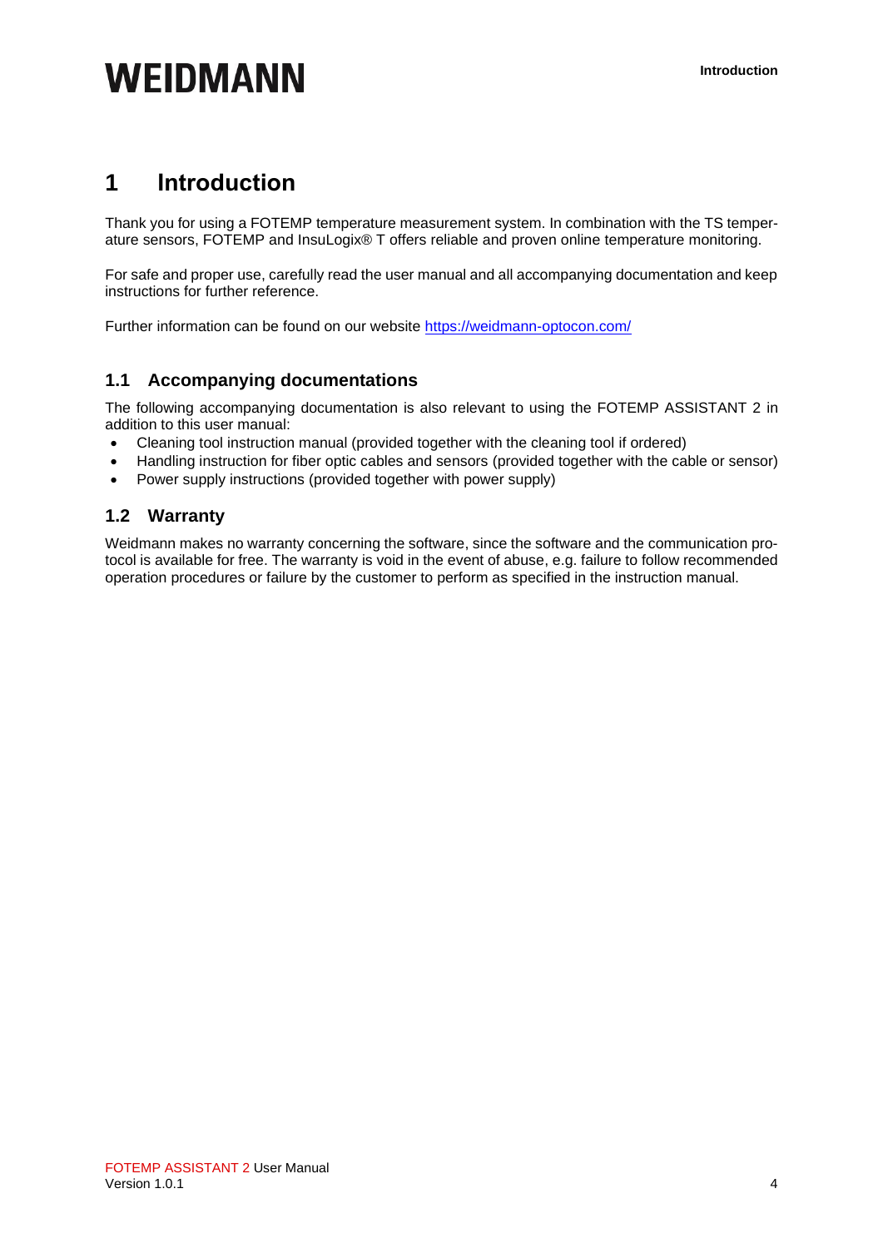### <span id="page-3-0"></span>**1 Introduction**

Thank you for using a FOTEMP temperature measurement system. In combination with the TS temperature sensors, FOTEMP and InsuLogix® T offers reliable and proven online temperature monitoring.

For safe and proper use, carefully read the user manual and all accompanying documentation and keep instructions for further reference.

Further information can be found on our website<https://weidmann-optocon.com/>

### <span id="page-3-1"></span>**1.1 Accompanying documentations**

The following accompanying documentation is also relevant to using the FOTEMP ASSISTANT 2 in addition to this user manual:

- Cleaning tool instruction manual (provided together with the cleaning tool if ordered)
- Handling instruction for fiber optic cables and sensors (provided together with the cable or sensor)
- Power supply instructions (provided together with power supply)

### <span id="page-3-2"></span>**1.2 Warranty**

Weidmann makes no warranty concerning the software, since the software and the communication protocol is available for free. The warranty is void in the event of abuse, e.g. failure to follow recommended operation procedures or failure by the customer to perform as specified in the instruction manual.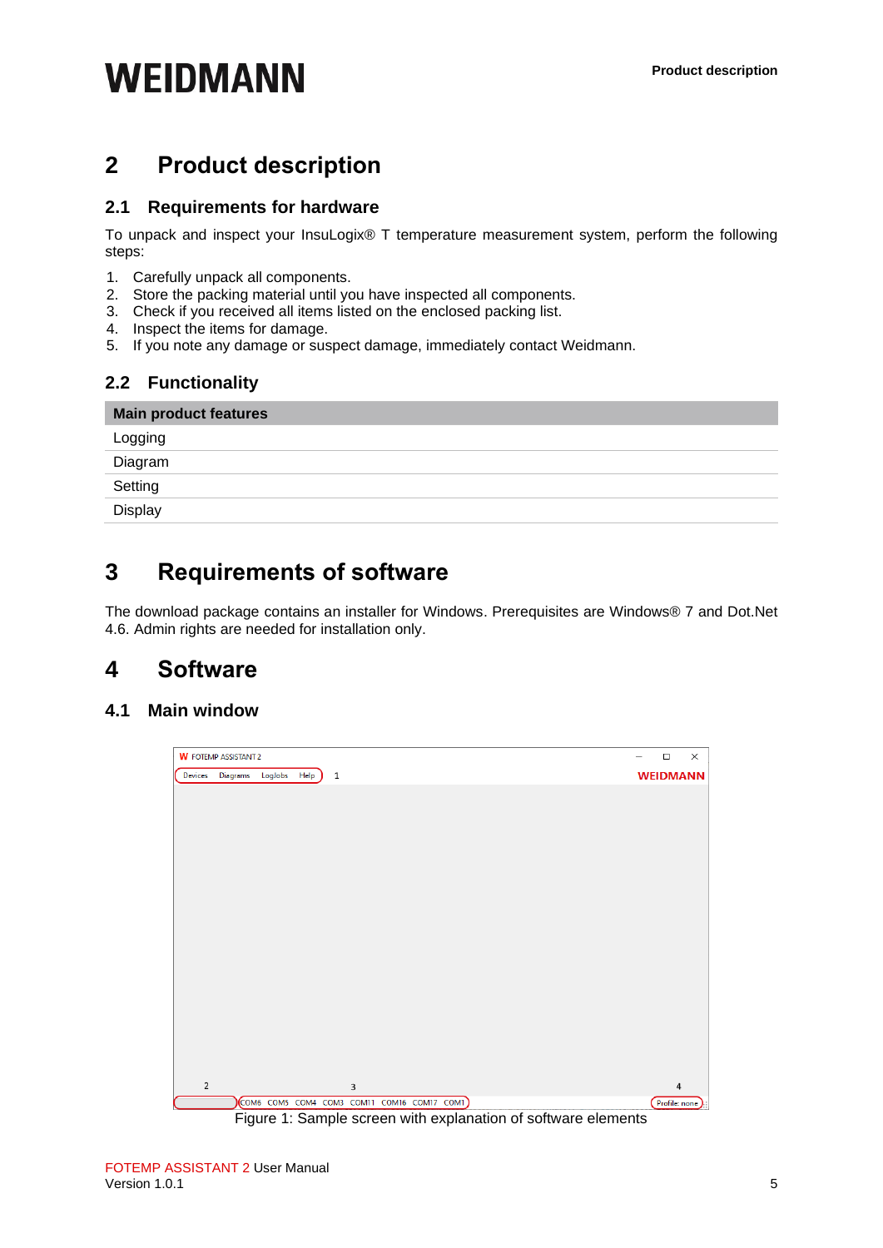### <span id="page-4-0"></span>**2 Product description**

#### <span id="page-4-1"></span>**2.1 Requirements for hardware**

To unpack and inspect your InsuLogix® T temperature measurement system, perform the following steps:

- 1. Carefully unpack all components.
- 2. Store the packing material until you have inspected all components.
- 3. Check if you received all items listed on the enclosed packing list.
- 4. Inspect the items for damage.
- 5. If you note any damage or suspect damage, immediately contact Weidmann.

#### <span id="page-4-2"></span>**2.2 Functionality**

| <b>Main product features</b> |
|------------------------------|
| Logging                      |
| Diagram                      |
| Setting                      |
| Display                      |

### <span id="page-4-3"></span>**3 Requirements of software**

The download package contains an installer for Windows. Prerequisites are Windows® 7 and Dot.Net 4.6. Admin rights are needed for installation only.

### <span id="page-4-4"></span>**4 Software**

#### <span id="page-4-5"></span>**4.1 Main window**

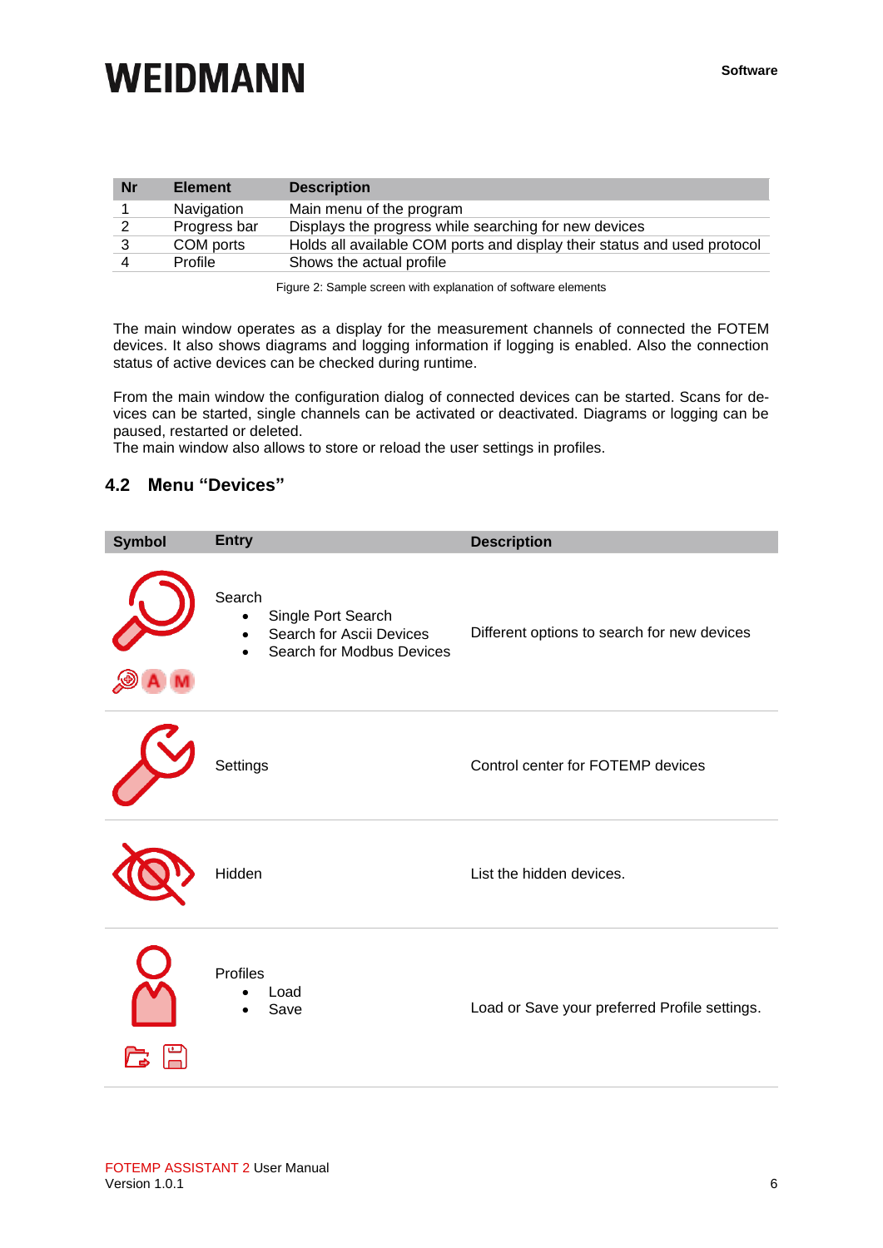| <b>Nr</b> | <b>Element</b> | <b>Description</b>                                                       |
|-----------|----------------|--------------------------------------------------------------------------|
|           | Navigation     | Main menu of the program                                                 |
|           | Progress bar   | Displays the progress while searching for new devices                    |
|           | COM ports      | Holds all available COM ports and display their status and used protocol |
|           | Profile        | Shows the actual profile                                                 |

Figure 2: Sample screen with explanation of software elements

The main window operates as a display for the measurement channels of connected the FOTEM devices. It also shows diagrams and logging information if logging is enabled. Also the connection status of active devices can be checked during runtime.

From the main window the configuration dialog of connected devices can be started. Scans for devices can be started, single channels can be activated or deactivated. Diagrams or logging can be paused, restarted or deleted.

The main window also allows to store or reload the user settings in profiles.

#### <span id="page-5-0"></span>**4.2 Menu "Devices"**

| <b>Symbol</b> | <b>Entry</b>                                                                                                    | <b>Description</b>                            |
|---------------|-----------------------------------------------------------------------------------------------------------------|-----------------------------------------------|
|               | Search<br>Single Port Search<br>$\bullet$<br>Search for Ascii Devices<br>Search for Modbus Devices<br>$\bullet$ | Different options to search for new devices   |
|               | Settings                                                                                                        | Control center for FOTEMP devices             |
|               | Hidden                                                                                                          | List the hidden devices.                      |
|               | Profiles<br>Load<br>Save                                                                                        | Load or Save your preferred Profile settings. |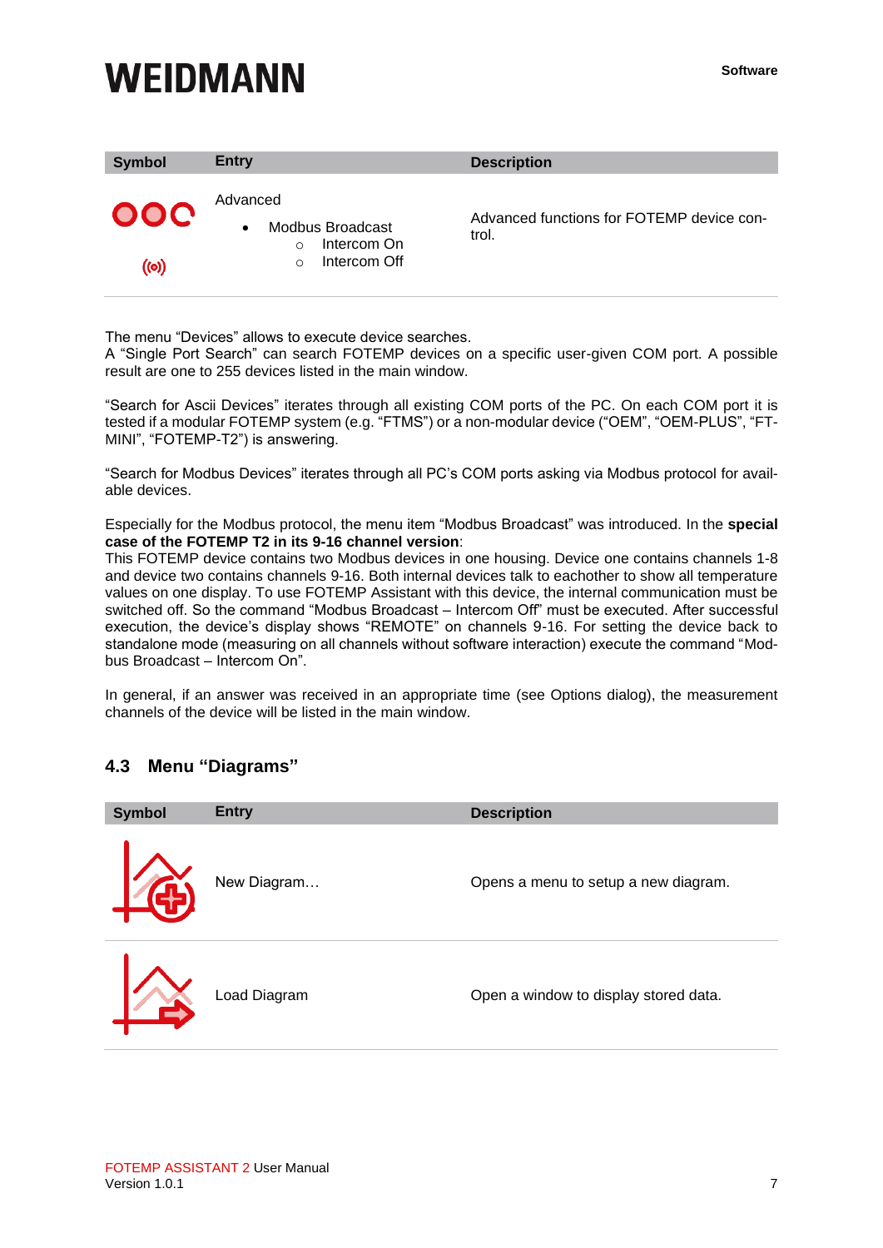| <b>Symbol</b> | <b>Entry</b>                                                                                     | <b>Description</b>                                 |
|---------------|--------------------------------------------------------------------------------------------------|----------------------------------------------------|
| 000<br>((၀))  | Advanced<br>Modbus Broadcast<br>$\bullet$<br>Intercom On<br>$\Omega$<br>Intercom Off<br>$\Omega$ | Advanced functions for FOTEMP device con-<br>trol. |

The menu "Devices" allows to execute device searches.

A "Single Port Search" can search FOTEMP devices on a specific user-given COM port. A possible result are one to 255 devices listed in the main window.

"Search for Ascii Devices" iterates through all existing COM ports of the PC. On each COM port it is tested if a modular FOTEMP system (e.g. "FTMS") or a non-modular device ("OEM", "OEM-PLUS", "FT-MINI", "FOTEMP-T2") is answering.

"Search for Modbus Devices" iterates through all PC's COM ports asking via Modbus protocol for available devices.

Especially for the Modbus protocol, the menu item "Modbus Broadcast" was introduced. In the **special case of the FOTEMP T2 in its 9-16 channel version**:

This FOTEMP device contains two Modbus devices in one housing. Device one contains channels 1-8 and device two contains channels 9-16. Both internal devices talk to eachother to show all temperature values on one display. To use FOTEMP Assistant with this device, the internal communication must be switched off. So the command "Modbus Broadcast – Intercom Off" must be executed. After successful execution, the device's display shows "REMOTE" on channels 9-16. For setting the device back to standalone mode (measuring on all channels without software interaction) execute the command "Modbus Broadcast – Intercom On".

In general, if an answer was received in an appropriate time (see Options dialog), the measurement channels of the device will be listed in the main window.

### <span id="page-6-0"></span>**4.3 Menu "Diagrams"**

| <b>Symbol</b> | <b>Entry</b> | <b>Description</b>                    |
|---------------|--------------|---------------------------------------|
|               | New Diagram  | Opens a menu to setup a new diagram.  |
|               | Load Diagram | Open a window to display stored data. |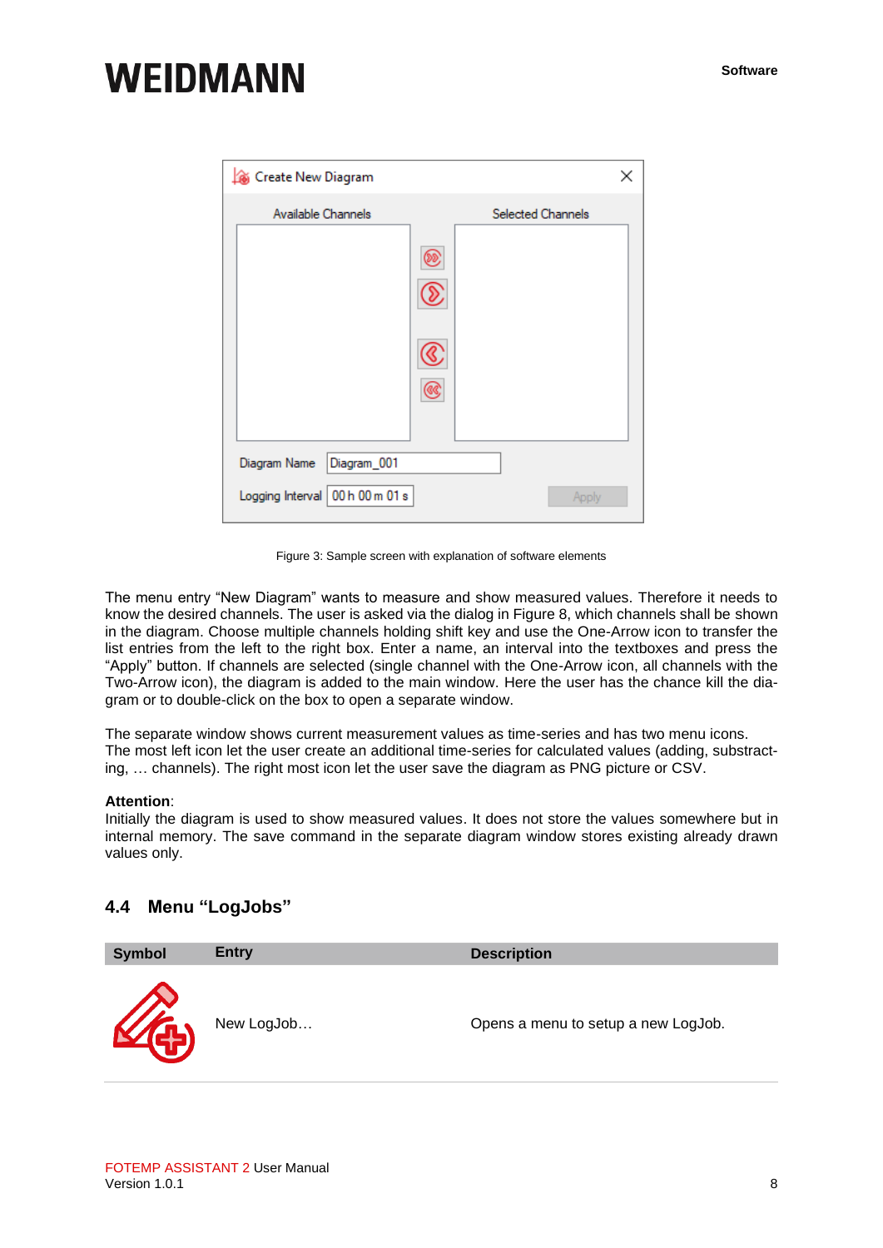| Gi Create New Diagram           | ×                 |  |
|---------------------------------|-------------------|--|
| Available Channels              | Selected Channels |  |
|                                 |                   |  |
|                                 |                   |  |
|                                 |                   |  |
|                                 |                   |  |
| Diagram_001<br>Diagram Name     |                   |  |
| Logging Interval 00 h 00 m 01 s | Apply             |  |

Figure 3: Sample screen with explanation of software elements

The menu entry "New Diagram" wants to measure and show measured values. Therefore it needs to know the desired channels. The user is asked via the dialog in Figure 8, which channels shall be shown in the diagram. Choose multiple channels holding shift key and use the One-Arrow icon to transfer the list entries from the left to the right box. Enter a name, an interval into the textboxes and press the "Apply" button. If channels are selected (single channel with the One-Arrow icon, all channels with the Two-Arrow icon), the diagram is added to the main window. Here the user has the chance kill the diagram or to double-click on the box to open a separate window.

The separate window shows current measurement values as time-series and has two menu icons. The most left icon let the user create an additional time-series for calculated values (adding, substracting, … channels). The right most icon let the user save the diagram as PNG picture or CSV.

#### **Attention**:

Initially the diagram is used to show measured values. It does not store the values somewhere but in internal memory. The save command in the separate diagram window stores existing already drawn values only.

#### <span id="page-7-0"></span>**4.4 Menu "LogJobs"**

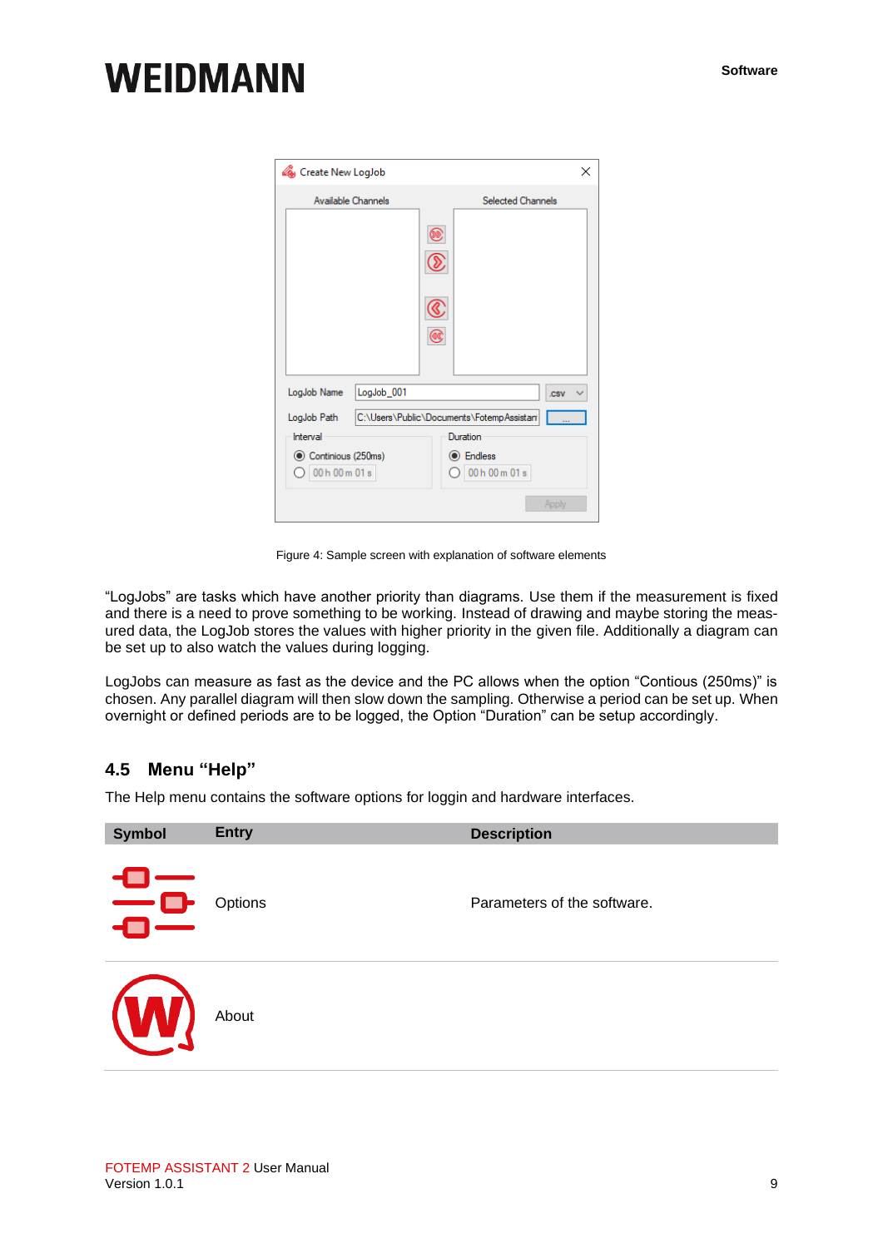| Create New LogJob                    | ×                                                     |
|--------------------------------------|-------------------------------------------------------|
| Available Channels                   | <b>Selected Channels</b>                              |
|                                      |                                                       |
| LogJob <sub>001</sub><br>LogJob Name | .csv                                                  |
| LogJob Path<br>Interval              | C:\Users\Public\Documents\FotempAssistan'<br>Duration |
| Continious (250ms)<br>00 h 00 m 01 s | <b>I</b> Endless<br>00 h 00 m 01 s                    |
|                                      | Apply                                                 |

Figure 4: Sample screen with explanation of software elements

"LogJobs" are tasks which have another priority than diagrams. Use them if the measurement is fixed and there is a need to prove something to be working. Instead of drawing and maybe storing the measured data, the LogJob stores the values with higher priority in the given file. Additionally a diagram can be set up to also watch the values during logging.

LogJobs can measure as fast as the device and the PC allows when the option "Contious (250ms)" is chosen. Any parallel diagram will then slow down the sampling. Otherwise a period can be set up. When overnight or defined periods are to be logged, the Option "Duration" can be setup accordingly.

#### <span id="page-8-0"></span>**4.5 Menu "Help"**

The Help menu contains the software options for loggin and hardware interfaces.

| <b>Symbol</b>                                     | <b>Entry</b> | <b>Description</b>          |
|---------------------------------------------------|--------------|-----------------------------|
| $\mathord{\equiv}$ e                              | Options      | Parameters of the software. |
| $\overline{\mathcal{U}}$<br>$^{\prime}$ $\Lambda$ | About        |                             |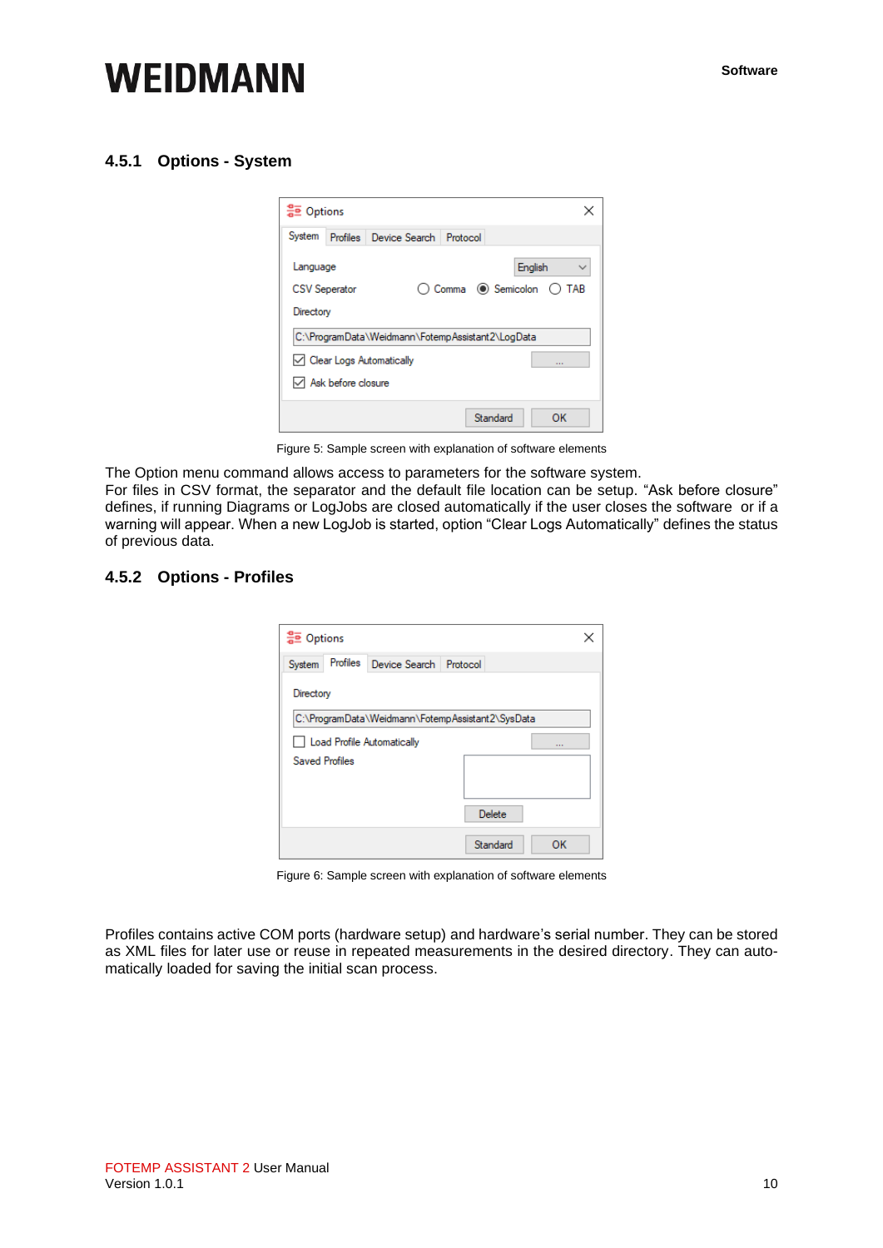#### <span id="page-9-0"></span>**4.5.1 Options - System**



Figure 5: Sample screen with explanation of software elements

The Option menu command allows access to parameters for the software system.

For files in CSV format, the separator and the default file location can be setup. "Ask before closure" defines, if running Diagrams or LogJobs are closed automatically if the user closes the software or if a warning will appear. When a new LogJob is started, option "Clear Logs Automatically" defines the status of previous data.

#### <span id="page-9-1"></span>**4.5.2 Options - Profiles**

| 음호 Options                                       |  |
|--------------------------------------------------|--|
| Profiles Device Search Protocol<br>System        |  |
| Directory                                        |  |
| C:\ProgramData\Weidmann\FotempAssistant2\SysData |  |
| Load Profile Automatically<br>$\cdots$           |  |
| <b>Saved Profiles</b>                            |  |
|                                                  |  |
| Delete                                           |  |
| Standard<br>ОΚ                                   |  |

Figure 6: Sample screen with explanation of software elements

Profiles contains active COM ports (hardware setup) and hardware's serial number. They can be stored as XML files for later use or reuse in repeated measurements in the desired directory. They can automatically loaded for saving the initial scan process.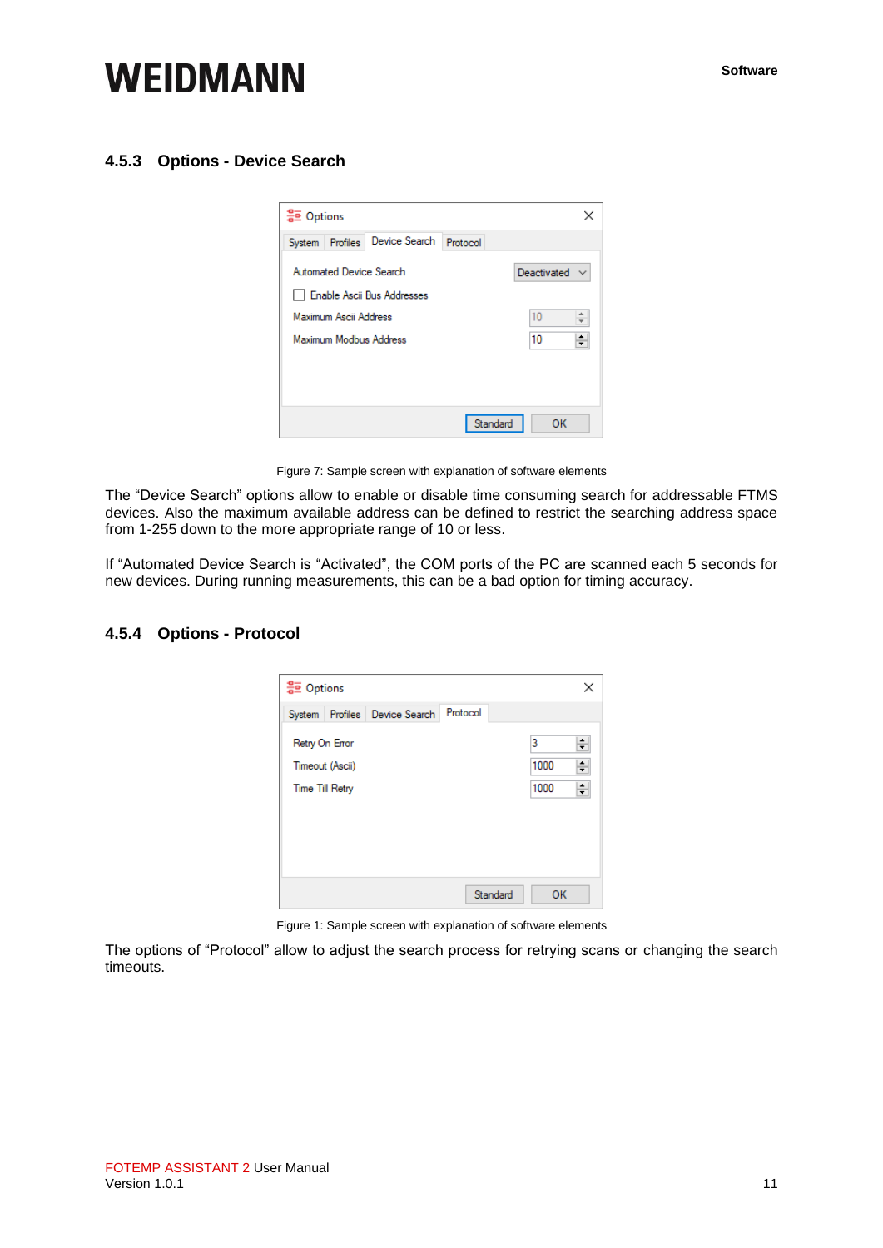#### <span id="page-10-0"></span>**4.5.3 Options - Device Search**



Figure 7: Sample screen with explanation of software elements

The "Device Search" options allow to enable or disable time consuming search for addressable FTMS devices. Also the maximum available address can be defined to restrict the searching address space from 1-255 down to the more appropriate range of 10 or less.

If "Automated Device Search is "Activated", the COM ports of the PC are scanned each 5 seconds for new devices. During running measurements, this can be a bad option for timing accuracy.

#### <span id="page-10-1"></span>**4.5.4 Options - Protocol**

| 응호 Options             |                 |                          |          |          |           | ×           |
|------------------------|-----------------|--------------------------|----------|----------|-----------|-------------|
| System                 |                 | Profiles   Device Search | Protocol |          |           |             |
| Retry On Error         | Timeout (Ascii) |                          |          |          | 3<br>1000 | ÷<br>$\div$ |
| <b>Time Till Retry</b> |                 |                          |          |          | 1000      | $\div$      |
|                        |                 |                          |          |          |           |             |
|                        |                 |                          |          |          |           |             |
|                        |                 |                          |          |          |           |             |
|                        |                 |                          |          | Standard | OK        |             |

Figure 1: Sample screen with explanation of software elements

The options of "Protocol" allow to adjust the search process for retrying scans or changing the search timeouts.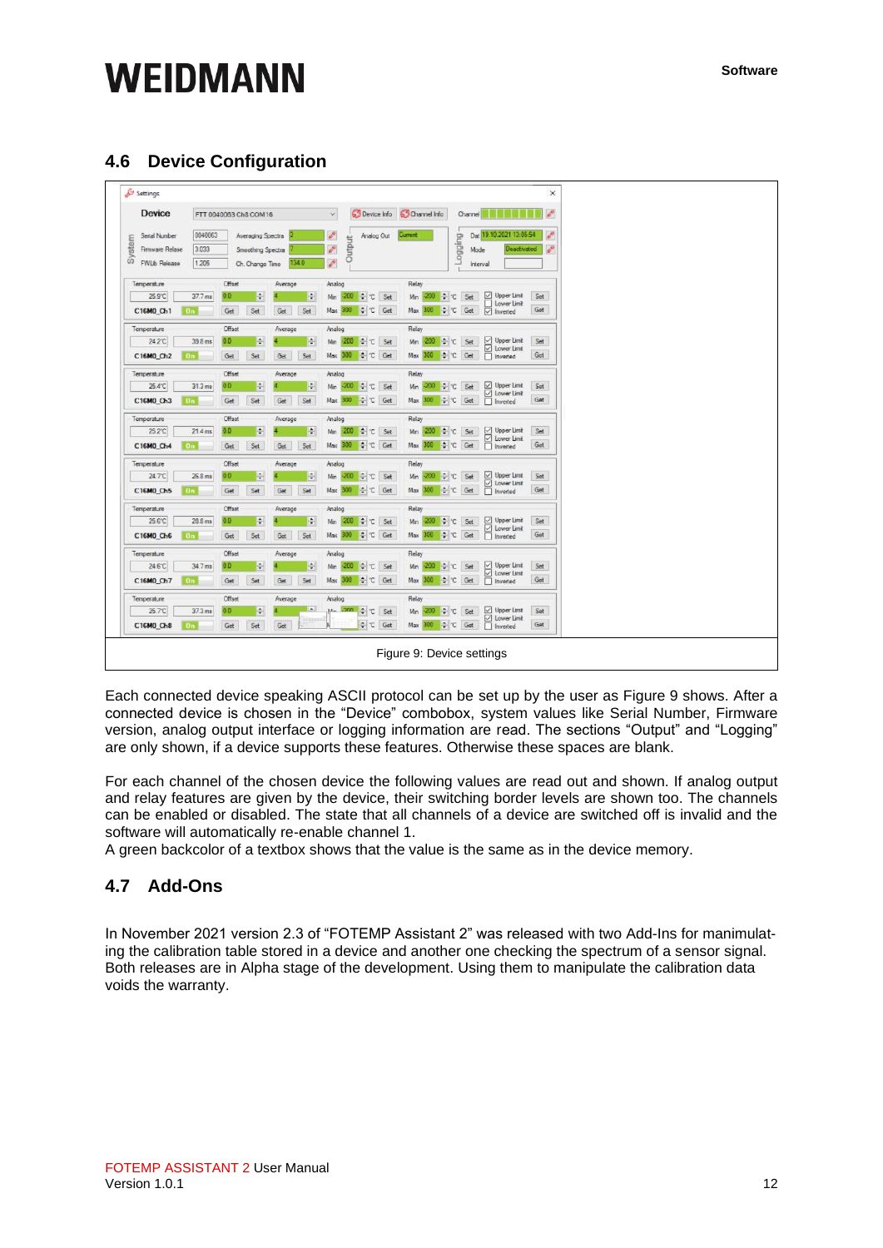### <span id="page-11-0"></span>**4.6 Device Configuration**

| Device                    |                    |                       |                        | Device Info                      | Channel Info                                                                                                                                                                                                                                                                                                                                                                                                                                                                                      | ×<br>$\mathcal{E}^0$ |
|---------------------------|--------------------|-----------------------|------------------------|----------------------------------|---------------------------------------------------------------------------------------------------------------------------------------------------------------------------------------------------------------------------------------------------------------------------------------------------------------------------------------------------------------------------------------------------------------------------------------------------------------------------------------------------|----------------------|
|                           |                    | FTT 0040063 Ch8 COM16 |                        | $\times$                         | Channel <b>Herman</b>                                                                                                                                                                                                                                                                                                                                                                                                                                                                             |                      |
| Serial Number             | 0040063            | Averaging Spectra     |                        | ô<br>Analog Out                  | Dat 19.10.2021 13:05:54<br>Current                                                                                                                                                                                                                                                                                                                                                                                                                                                                | P                    |
| System<br>Firmware Relase | 3.033              | Smoothing Spectra     |                        | Output<br>b                      | <b>BujbBo</b> <sub>1</sub><br>Deactivated<br>Mode                                                                                                                                                                                                                                                                                                                                                                                                                                                 | P                    |
| <b>FWLb Release</b>       | 1.205              | Ch. Change Time       | 1340                   | $\mathcal{E}$                    | Interval                                                                                                                                                                                                                                                                                                                                                                                                                                                                                          |                      |
| Temperature               |                    | Offset                | Average                | Analog                           | Relay                                                                                                                                                                                                                                                                                                                                                                                                                                                                                             |                      |
| 25.9°C                    | 37.7 ms            | ÷<br>0 <sub>0</sub>   | ÷                      | Min -200 0 C<br>Set              | Upper Limit<br>$\div c$<br>$-200$<br>Min<br>Set<br>Lower Limit                                                                                                                                                                                                                                                                                                                                                                                                                                    | Set                  |
| C16M0 Ch1                 | <b>Bn</b>          | Set<br>Get            | Set<br>Get             | $ \div $ $\in$<br>Max 300<br>Get | C Get<br>$\overline{\vee}$ Inverted<br>300<br>Max                                                                                                                                                                                                                                                                                                                                                                                                                                                 | Get                  |
| Temperature               |                    | Offset                | Average                | Analog                           | Relay                                                                                                                                                                                                                                                                                                                                                                                                                                                                                             |                      |
| 24.2°C                    | 39.8 ms            | ÷<br>0.0              | E                      | Mn 200 ÷ C<br>Set                | 200 ÷ C Set<br>Upper Limit<br>Mn                                                                                                                                                                                                                                                                                                                                                                                                                                                                  | Set                  |
| C16M0 Ch2                 | <b>On</b>          | Get<br>Set            | Get<br>Set             | C Get<br>Max 300                 | Upper Line<br>Univer Line<br>Inverted<br>Lower Limit<br>$C$ Get<br>Max 300                                                                                                                                                                                                                                                                                                                                                                                                                        | Get                  |
| Temperature               |                    | Offset                | Average                | Analog                           | Relay                                                                                                                                                                                                                                                                                                                                                                                                                                                                                             |                      |
| 25.4°C                    | $31.3 \text{ ms}$  | ÷<br>0.0              | F                      | Min -200 + C Set                 | Min -200 : C Set                                                                                                                                                                                                                                                                                                                                                                                                                                                                                  | Set                  |
| C16M0 Ch3                 | Ün.                | Get<br>Set            | Set<br>Get             | Max 300 C Get                    | C Get<br>Max 300                                                                                                                                                                                                                                                                                                                                                                                                                                                                                  | Get                  |
| Temperature               |                    | Offset                | Average                | Analog                           | Relay                                                                                                                                                                                                                                                                                                                                                                                                                                                                                             |                      |
| 25.2°C                    | 21.4 <sub>ms</sub> | $\div$<br>0.0         | ÷                      | Mn -200 ≑ C<br>Set               | $\sim c$<br>$\begin{tabular}{ c c } \hline \hline \multicolumn{1}{ c }{\hline \multicolumn{1}{ c }{\hline \multicolumn{1}{ c }{\hline \multicolumn{1}{ c }{\hline \multicolumn{1}{ c }{\hline \multicolumn{1}{ c }{\hline \multicolumn{1}{ c }{\hline \multicolumn{1}{ c }{\hline \multicolumn{1}{ c }{\hline \multicolumn{1}{ c }{\hline \multicolumn{1}{ c }{\hline \multicolumn{1}{ c }{\hline \multicolumn{1}{ c }{\hline \multicolumn{1}{ c }{\hline \multicolumn{1$<br>$-200$<br>Set<br>Min | Set                  |
| C16M0 Ch4                 | <b>On</b>          | Set<br>Get            | Set<br>Get             | Max 300 C Get                    | Max 300 + C Get                                                                                                                                                                                                                                                                                                                                                                                                                                                                                   | Get                  |
| Temperature               |                    | Offset                | Average                | Analog                           | Relay                                                                                                                                                                                                                                                                                                                                                                                                                                                                                             |                      |
| 24.7°C                    | 26.8 ms            | ÷<br>0.0              | H.                     | Min -200 ↓ ℃<br>Set              | $C$ Set<br>$-200$<br>Min                                                                                                                                                                                                                                                                                                                                                                                                                                                                          | Set                  |
| C16M0 Ch5                 | 0n                 | Get<br>Set            | Set<br>Get             | Max 300 ÷ C Get                  | C Get<br>Max 300                                                                                                                                                                                                                                                                                                                                                                                                                                                                                  | Get                  |
| Temperature               |                    | Offset                | Average                | Analog                           | Relay                                                                                                                                                                                                                                                                                                                                                                                                                                                                                             |                      |
| 25.6°C                    | $28.8$ ms          | ÷<br>0.0              | ÷                      | $-200$ $\div$ C<br>Set<br>Mn     | ↓℃ Set<br>□ Upper Limit<br>Mn<br>$-200$                                                                                                                                                                                                                                                                                                                                                                                                                                                           | Set                  |
| C16M0_Ch6                 | <b>Bn</b>          | Set<br>Get            | Set<br>Get             | Max 300 C Get                    | Lower Limit<br>Max 300 $\div$ C Get                                                                                                                                                                                                                                                                                                                                                                                                                                                               | Get                  |
| Temperature               |                    | Offset                | Average                | Analog                           | Relay                                                                                                                                                                                                                                                                                                                                                                                                                                                                                             |                      |
| 24.6°C                    | 34.7 ms            | ÷<br>0.0              | ÷                      | Min -200 ÷ C<br>Set              | $-200$ $\div$ C<br>Set<br>Min                                                                                                                                                                                                                                                                                                                                                                                                                                                                     | Set                  |
| C16M0_Ch7                 | 0n                 | Set<br>Get            | Set<br>Get             | → C Get<br>Max 300               | Upper Limit<br>C Lower Limit<br>Inverted<br>Max 300 ÷ C Get                                                                                                                                                                                                                                                                                                                                                                                                                                       | Get                  |
| Temperature               |                    | Offset                | Average                | Analog                           | Relay                                                                                                                                                                                                                                                                                                                                                                                                                                                                                             |                      |
| 25.7°C                    | 37.3 ms            | ¢.<br>0.0             | $\left  \cdot \right $ | $T = 2$ and $T = 1$<br>Set       | $\rightarrow c$<br>√ Upper Limit<br>Mn<br>$-200.$<br>Set                                                                                                                                                                                                                                                                                                                                                                                                                                          | Set                  |
| C16M0 Ch8                 | 0n                 | Set<br>Get            | ⊞<br>Get               | $\div$ $\in$<br>Get              | Lower Limit<br>Max 300 C Get                                                                                                                                                                                                                                                                                                                                                                                                                                                                      | Get                  |

Each connected device speaking ASCII protocol can be set up by the user as Figure 9 shows. After a connected device is chosen in the "Device" combobox, system values like Serial Number, Firmware version, analog output interface or logging information are read. The sections "Output" and "Logging" are only shown, if a device supports these features. Otherwise these spaces are blank.

For each channel of the chosen device the following values are read out and shown. If analog output and relay features are given by the device, their switching border levels are shown too. The channels can be enabled or disabled. The state that all channels of a device are switched off is invalid and the software will automatically re-enable channel 1.

A green backcolor of a textbox shows that the value is the same as in the device memory.

#### **4.7 Add-Ons**

In November 2021 version 2.3 of "FOTEMP Assistant 2" was released with two Add-Ins for manimulating the calibration table stored in a device and another one checking the spectrum of a sensor signal. Both releases are in Alpha stage of the development. Using them to manipulate the calibration data voids the warranty.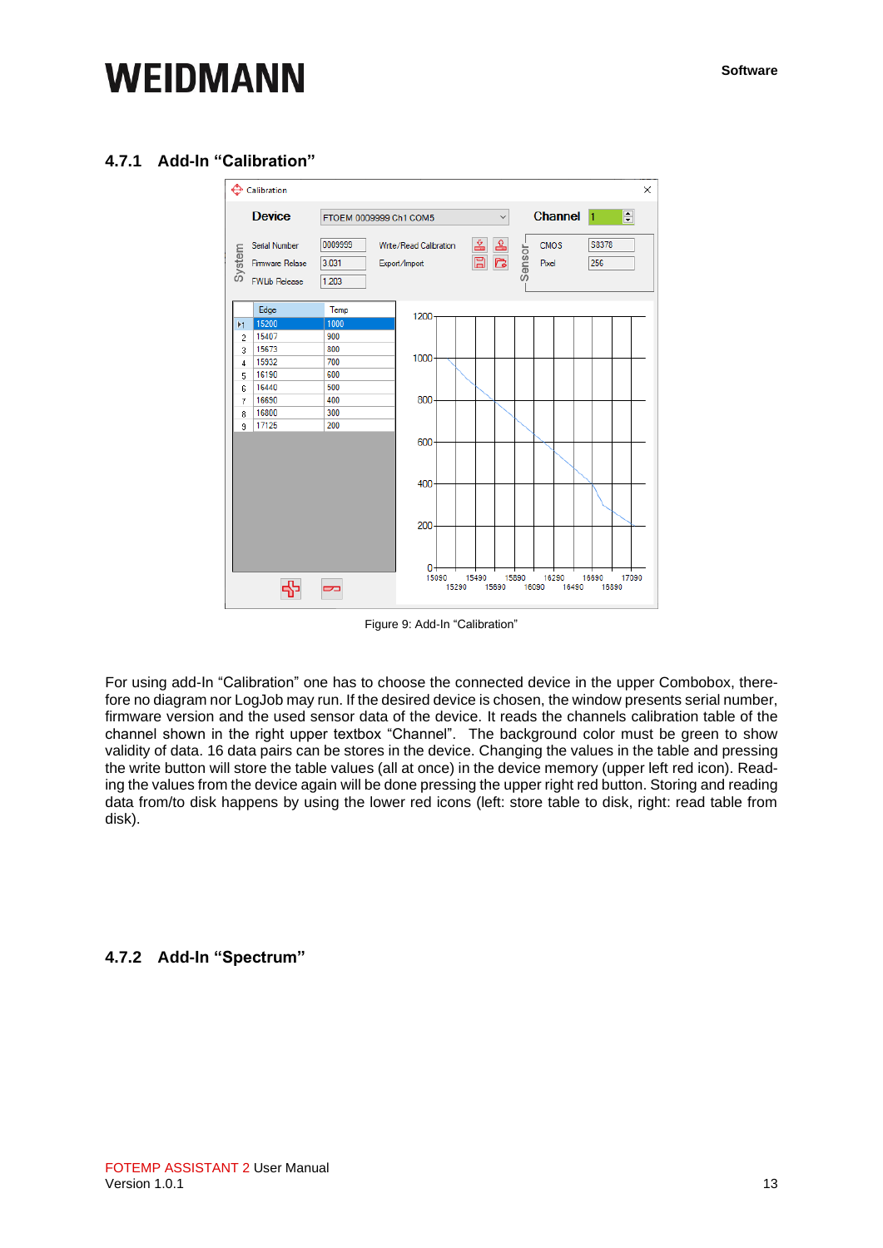#### <span id="page-12-0"></span>**4.7.1 Add-In "Calibration"**



Figure 9: Add-In "Calibration"

For using add-In "Calibration" one has to choose the connected device in the upper Combobox, therefore no diagram nor LogJob may run. If the desired device is chosen, the window presents serial number, firmware version and the used sensor data of the device. It reads the channels calibration table of the channel shown in the right upper textbox "Channel". The background color must be green to show validity of data. 16 data pairs can be stores in the device. Changing the values in the table and pressing the write button will store the table values (all at once) in the device memory (upper left red icon). Reading the values from the device again will be done pressing the upper right red button. Storing and reading data from/to disk happens by using the lower red icons (left: store table to disk, right: read table from disk).

#### <span id="page-12-1"></span>**4.7.2 Add-In "Spectrum"**